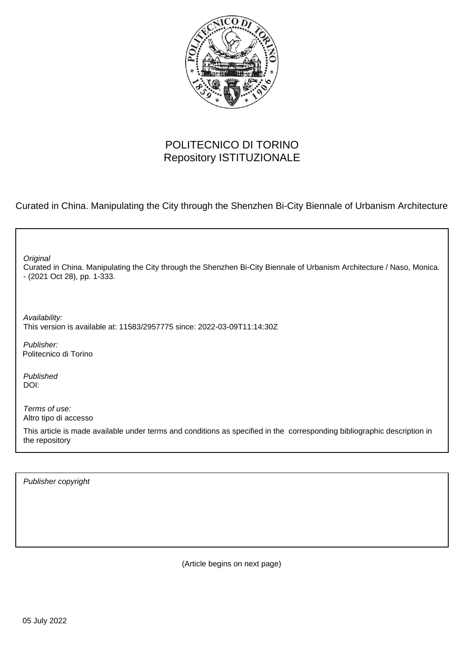

### POLITECNICO DI TORINO Repository ISTITUZIONALE

Curated in China. Manipulating the City through the Shenzhen Bi-City Biennale of Urbanism Architecture

| Original<br>Curated in China. Manipulating the City through the Shenzhen Bi-City Biennale of Urbanism Architecture / Naso, Monica.<br>- (2021 Oct 28), pp. 1-333. |
|-------------------------------------------------------------------------------------------------------------------------------------------------------------------|
| Availability:<br>This version is available at: 11583/2957775 since: 2022-03-09T11:14:30Z                                                                          |
| Publisher:<br>Politecnico di Torino                                                                                                                               |
| Published<br>DOI:                                                                                                                                                 |
| Terms of use:<br>Altro tipo di accesso                                                                                                                            |
| This article is made available under terms and conditions as specified in the corresponding bibliographic description in<br>the repository                        |
|                                                                                                                                                                   |

Publisher copyright

(Article begins on next page)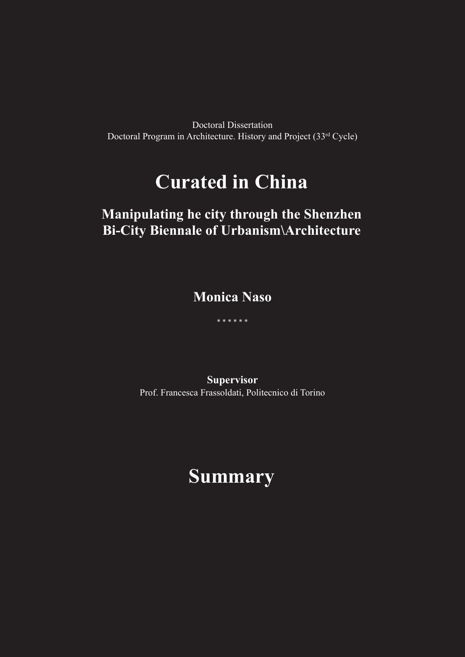Doctoral Dissertation Doctoral Program in Architecture. History and Project (33rd Cycle)

# **Curated in China**

### **Manipulating he city through the Shenzhen Bi-City Biennale of Urbanism\Architecture**

**Monica Naso**

\* \* \* \* \* \*

**Supervisor** Prof. Francesca Frassoldati, Politecnico di Torino

## **Summary**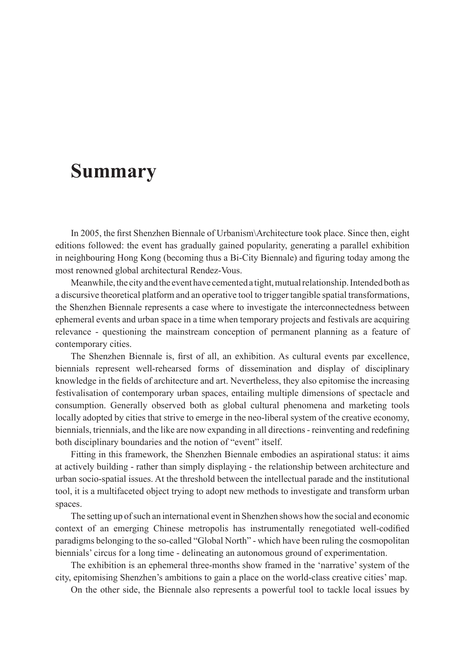### **Summary**

In 2005, the first Shenzhen Biennale of Urbanism\Architecture took place. Since then, eight editions followed: the event has gradually gained popularity, generating a parallel exhibition in neighbouring Hong Kong (becoming thus a Bi-City Biennale) and figuring today among the most renowned global architectural Rendez-Vous.

Meanwhile, the city and the event have cemented a tight, mutual relationship. Intended both as a discursive theoretical platform and an operative tool to trigger tangible spatial transformations, the Shenzhen Biennale represents a case where to investigate the interconnectedness between ephemeral events and urban space in a time when temporary projects and festivals are acquiring relevance - questioning the mainstream conception of permanent planning as a feature of contemporary cities.

The Shenzhen Biennale is, first of all, an exhibition. As cultural events par excellence, biennials represent well-rehearsed forms of dissemination and display of disciplinary knowledge in the fields of architecture and art. Nevertheless, they also epitomise the increasing festivalisation of contemporary urban spaces, entailing multiple dimensions of spectacle and consumption. Generally observed both as global cultural phenomena and marketing tools locally adopted by cities that strive to emerge in the neo-liberal system of the creative economy, biennials, triennials, and the like are now expanding in all directions - reinventing and redefining both disciplinary boundaries and the notion of "event" itself.

Fitting in this framework, the Shenzhen Biennale embodies an aspirational status: it aims at actively building - rather than simply displaying - the relationship between architecture and urban socio-spatial issues. At the threshold between the intellectual parade and the institutional tool, it is a multifaceted object trying to adopt new methods to investigate and transform urban spaces.

The setting up of such an international event in Shenzhen shows how the social and economic context of an emerging Chinese metropolis has instrumentally renegotiated well-codified paradigms belonging to the so-called "Global North" - which have been ruling the cosmopolitan biennials' circus for a long time - delineating an autonomous ground of experimentation.

The exhibition is an ephemeral three-months show framed in the 'narrative' system of the city, epitomising Shenzhen's ambitions to gain a place on the world-class creative cities' map.

On the other side, the Biennale also represents a powerful tool to tackle local issues by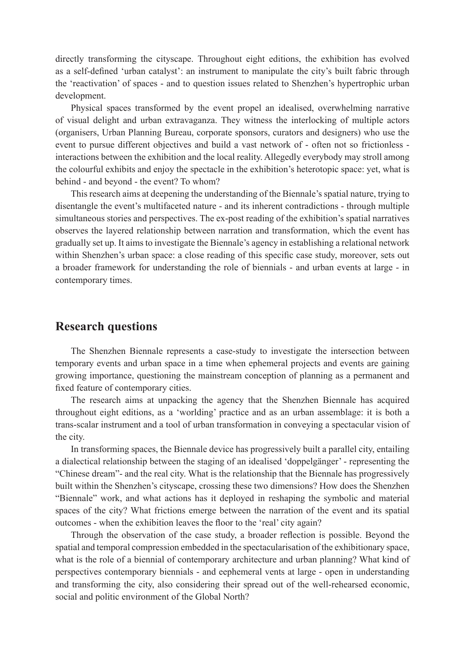directly transforming the cityscape. Throughout eight editions, the exhibition has evolved as a self-defined 'urban catalyst': an instrument to manipulate the city's built fabric through the 'reactivation' of spaces - and to question issues related to Shenzhen's hypertrophic urban development.

Physical spaces transformed by the event propel an idealised, overwhelming narrative of visual delight and urban extravaganza. They witness the interlocking of multiple actors (organisers, Urban Planning Bureau, corporate sponsors, curators and designers) who use the event to pursue different objectives and build a vast network of - often not so frictionless interactions between the exhibition and the local reality. Allegedly everybody may stroll among the colourful exhibits and enjoy the spectacle in the exhibition's heterotopic space: yet, what is behind - and beyond - the event? To whom?

This research aims at deepening the understanding of the Biennale's spatial nature, trying to disentangle the event's multifaceted nature - and its inherent contradictions - through multiple simultaneous stories and perspectives. The ex-post reading of the exhibition's spatial narratives observes the layered relationship between narration and transformation, which the event has gradually set up. It aims to investigate the Biennale's agency in establishing a relational network within Shenzhen's urban space: a close reading of this specific case study, moreover, sets out a broader framework for understanding the role of biennials - and urban events at large - in contemporary times.

#### **Research questions**

The Shenzhen Biennale represents a case-study to investigate the intersection between temporary events and urban space in a time when ephemeral projects and events are gaining growing importance, questioning the mainstream conception of planning as a permanent and fixed feature of contemporary cities.

The research aims at unpacking the agency that the Shenzhen Biennale has acquired throughout eight editions, as a 'worlding' practice and as an urban assemblage: it is both a trans-scalar instrument and a tool of urban transformation in conveying a spectacular vision of the city.

In transforming spaces, the Biennale device has progressively built a parallel city, entailing a dialectical relationship between the staging of an idealised 'doppelgänger' - representing the "Chinese dream"- and the real city. What is the relationship that the Biennale has progressively built within the Shenzhen's cityscape, crossing these two dimensions? How does the Shenzhen "Biennale" work, and what actions has it deployed in reshaping the symbolic and material spaces of the city? What frictions emerge between the narration of the event and its spatial outcomes - when the exhibition leaves the floor to the 'real' city again?

Through the observation of the case study, a broader reflection is possible. Beyond the spatial and temporal compression embedded in the spectacularisation of the exhibitionary space, what is the role of a biennial of contemporary architecture and urban planning? What kind of perspectives contemporary biennials - and eephemeral vents at large - open in understanding and transforming the city, also considering their spread out of the well-rehearsed economic, social and politic environment of the Global North?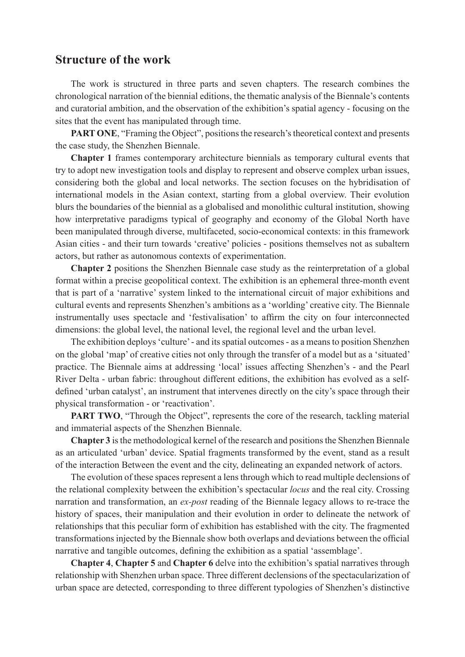#### **Structure of the work**

The work is structured in three parts and seven chapters. The research combines the chronological narration of the biennial editions, the thematic analysis of the Biennale's contents and curatorial ambition, and the observation of the exhibition's spatial agency - focusing on the sites that the event has manipulated through time.

**PART ONE**, "Framing the Object", positions the research's theoretical context and presents the case study, the Shenzhen Biennale.

**Chapter 1** frames contemporary architecture biennials as temporary cultural events that try to adopt new investigation tools and display to represent and observe complex urban issues, considering both the global and local networks. The section focuses on the hybridisation of international models in the Asian context, starting from a global overview. Their evolution blurs the boundaries of the biennial as a globalised and monolithic cultural institution, showing how interpretative paradigms typical of geography and economy of the Global North have been manipulated through diverse, multifaceted, socio-economical contexts: in this framework Asian cities - and their turn towards 'creative' policies - positions themselves not as subaltern actors, but rather as autonomous contexts of experimentation.

**Chapter 2** positions the Shenzhen Biennale case study as the reinterpretation of a global format within a precise geopolitical context. The exhibition is an ephemeral three-month event that is part of a 'narrative' system linked to the international circuit of major exhibitions and cultural events and represents Shenzhen's ambitions as a 'worlding' creative city. The Biennale instrumentally uses spectacle and 'festivalisation' to affirm the city on four interconnected dimensions: the global level, the national level, the regional level and the urban level.

The exhibition deploys 'culture' - and its spatial outcomes - as a means to position Shenzhen on the global 'map' of creative cities not only through the transfer of a model but as a 'situated' practice. The Biennale aims at addressing 'local' issues affecting Shenzhen's - and the Pearl River Delta - urban fabric: throughout different editions, the exhibition has evolved as a selfdefined 'urban catalyst', an instrument that intervenes directly on the city's space through their physical transformation - or 'reactivation'.

**PART TWO**, "Through the Object", represents the core of the research, tackling material and immaterial aspects of the Shenzhen Biennale.

**Chapter 3** is the methodological kernel of the research and positions the Shenzhen Biennale as an articulated 'urban' device. Spatial fragments transformed by the event, stand as a result of the interaction Between the event and the city, delineating an expanded network of actors.

The evolution of these spaces represent a lens through which to read multiple declensions of the relational complexity between the exhibition's spectacular *locus* and the real city. Crossing narration and transformation, an *ex-post* reading of the Biennale legacy allows to re-trace the history of spaces, their manipulation and their evolution in order to delineate the network of relationships that this peculiar form of exhibition has established with the city. The fragmented transformations injected by the Biennale show both overlaps and deviations between the official narrative and tangible outcomes, defining the exhibition as a spatial 'assemblage'.

**Chapter 4**, **Chapter 5** and **Chapter 6** delve into the exhibition's spatial narratives through relationship with Shenzhen urban space. Three different declensions of the spectacularization of urban space are detected, corresponding to three different typologies of Shenzhen's distinctive